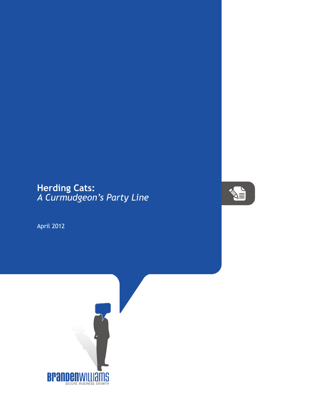## **Herding Cats:** *A Curmudgeon's Party Line*

April 2012



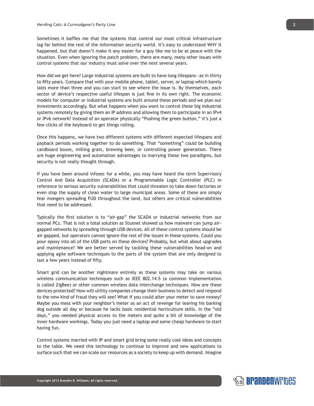Sometimes it baffles me that the systems that control our most critical infrastructure lag far behind the rest of the information security world. It's easy to understand WHY it happened, but that doesn't make it any easier for a guy like me to be at peace with the situation. Even when ignoring the patch problem, there are many, many other issues with control systems that our industry must solve over the next several years.

How did we get here? Large industrial systems are built to have long lifespans—as in thirty to fifty years. Compare that with your mobile phone, tablet, server, or laptop which barely lasts more than three and you can start to see where the issue is. By themselves, each sector of device's respective useful lifespan is just fine in its own right. The economic models for computer or industrial systems are built around these periods and we plan our investments accordingly. But what happens when you want to control these big industrial systems remotely by giving them an IP address and allowing them to participate in an IPv4 or IPv6 network? Instead of an operator physically "Pushing the green button," it's just a few clicks of the keyboard to get things rolling.

Once this happens, we have two different systems with different expected lifespans and payback periods working together to do something. That "something" could be building cardboard boxes, milling grain, brewing beer, or controlling power generation. There are huge engineering and automation advantages to marrying these two paradigms, but security is not really thought through.

If you have been around infosec for a while, you may have heard the term Supervisory Control And Data Acquisition (SCADA) or a Programmable Logic Controller (PLC) in reference to serious security vulnerabilities that could threaten to take down factories or even stop the supply of clean water to large municipal areas. Some of these are simply fear mongers spreading FUD throughout the land, but others are critical vulnerabilities that need to be addressed.

Typically the first solution is to "air-gap" the SCADA or industrial networks from our normal PCs. That is not a total solution as Stuxnet showed us how malware can jump airgapped networks by spreading through USB devices. All of these control systems should be air-gapped, but operators cannot ignore the rest of the issues in these systems. Could you pour epoxy into all of the USB ports on these devices? Probably, but what about upgrades and maintenance? We are better served by tackling these vulnerabilities head-on and applying agile software techniques to the parts of the system that are only designed to last a few years instead of fifty.

Smart grid can be another nightmare entirely as these systems may take on various wireless communication techniques such as IEEE 802.14.5 (a common implementation is called ZigBee) or other common wireless data interchange techniques. How are these devices protected? How will utility companies change their business to detect and respond to the new kind of fraud they will see? What if you could alter your meter to save money? Maybe you mess with your neighbor's meter as an act of revenge for leaving his barking dog outside all day or because he lacks basic residential horticulture skills. In the "old days," you needed physical access to the meters and quite a bit of knowledge of the inner hardware workings. Today you just need a laptop and some cheap hardware to start having fun.

Control systems married with IP and smart grid bring some really cool ideas and concepts to the table. We need this technology to continue to improve and new applications to surface such that we can scale our resources as a society to keep up with demand. Imagine



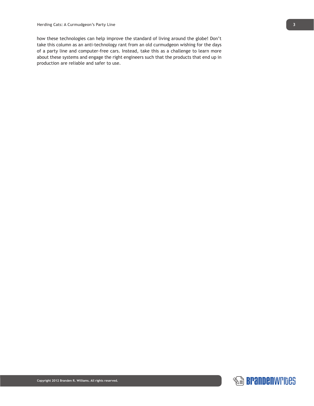how these technologies can help improve the standard of living around the globe! Don't take this column as an anti-technology rant from an old curmudgeon wishing for the days of a party line and computer-free cars. Instead, take this as a challenge to learn more about these systems and engage the right engineers such that the products that end up in production are reliable and safer to use.